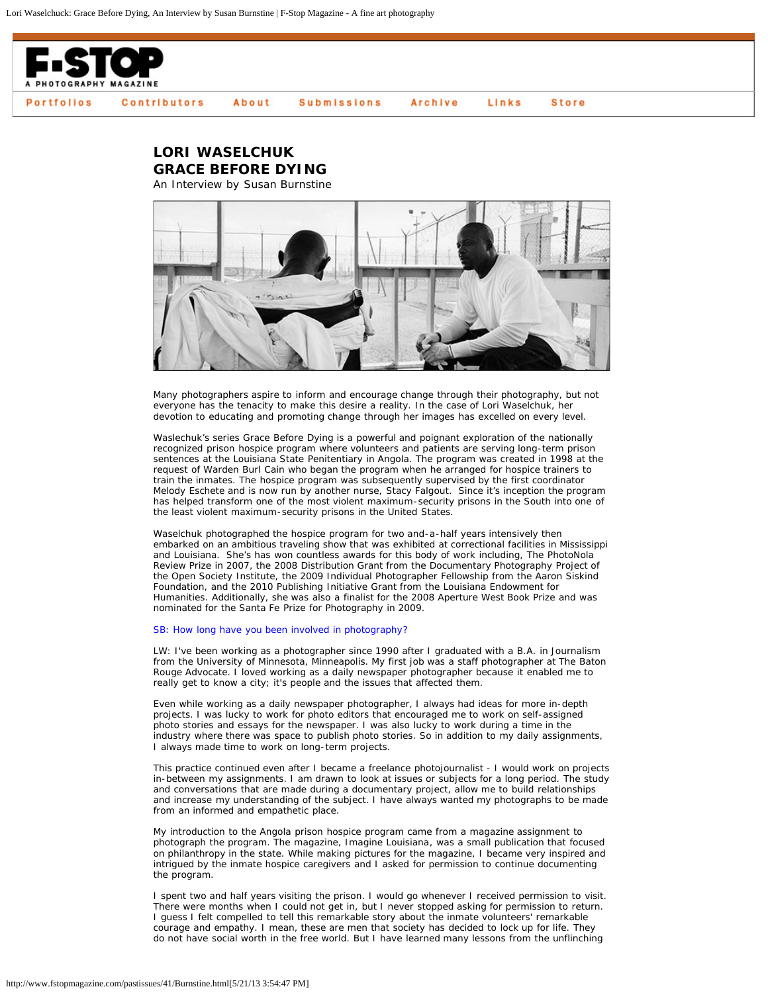

## **LORI WASELCHUK GRACE BEFORE DYING** An Interview by Susan Burnstine

Many photographers aspire to inform and encourage change through their photography, but not everyone has the tenacity to make this desire a reality. In the case of Lori Waselchuk, her devotion to educating and promoting change through her images has excelled on every level.

Waslechuk's series Grace Before Dying is a powerful and poignant exploration of the nationally recognized prison hospice program where volunteers and patients are serving long-term prison sentences at the Louisiana State Penitentiary in Angola. The program was created in 1998 at the request of Warden Burl Cain who began the program when he arranged for hospice trainers to train the inmates. The hospice program was subsequently supervised by the first coordinator Melody Eschete and is now run by another nurse, Stacy Falgout. Since it's inception the program has helped transform one of the most violent maximum-security prisons in the South into one of the least violent maximum-security prisons in the United States.

Waselchuk photographed the hospice program for two and-a-half years intensively then embarked on an ambitious traveling show that was exhibited at correctional facilities in Mississippi and Louisiana. She's has won countless awards for this body of work including, The PhotoNola Review Prize in 2007, the 2008 Distribution Grant from the Documentary Photography Project of the Open Society Institute, the 2009 Individual Photographer Fellowship from the Aaron Siskind Foundation, and the 2010 Publishing Initiative Grant from the Louisiana Endowment for Humanities. Additionally, she was also a finalist for the 2008 Aperture West Book Prize and was nominated for the Santa Fe Prize for Photography in 2009.

## SB: How long have you been involved in photography?

LW: I've been working as a photographer since 1990 after I graduated with a B.A. in Journalism from the University of Minnesota, Minneapolis. My first job was a staff photographer at The Baton Rouge Advocate. I loved working as a daily newspaper photographer because it enabled me to really get to know a city; it's people and the issues that affected them.

Even while working as a daily newspaper photographer, I always had ideas for more in-depth projects. I was lucky to work for photo editors that encouraged me to work on self-assigned photo stories and essays for the newspaper. I was also lucky to work during a time in the industry where there was space to publish photo stories. So in addition to my daily assignments, I always made time to work on long-term projects.

This practice continued even after I became a freelance photojournalist - I would work on projects in-between my assignments. I am drawn to look at issues or subjects for a long period. The study and conversations that are made during a documentary project, allow me to build relationships and increase my understanding of the subject. I have always wanted my photographs to be made from an informed and empathetic place.

My introduction to the Angola prison hospice program came from a magazine assignment to photograph the program. The magazine, *Imagine Louisiana*, was a small publication that focused on philanthropy in the state. While making pictures for the magazine, I became very inspired and intrigued by the inmate hospice caregivers and I asked for permission to continue documenting the program.

I spent two and half years visiting the prison. I would go whenever I received permission to visit. There were months when I could not get in, but I never stopped asking for permission to return. I guess I felt compelled to tell this remarkable story about the inmate volunteers' remarkable courage and empathy. I mean, these are men that society has decided to lock up for life. They do not have social worth in the free world. But I have learned many lessons from the unflinching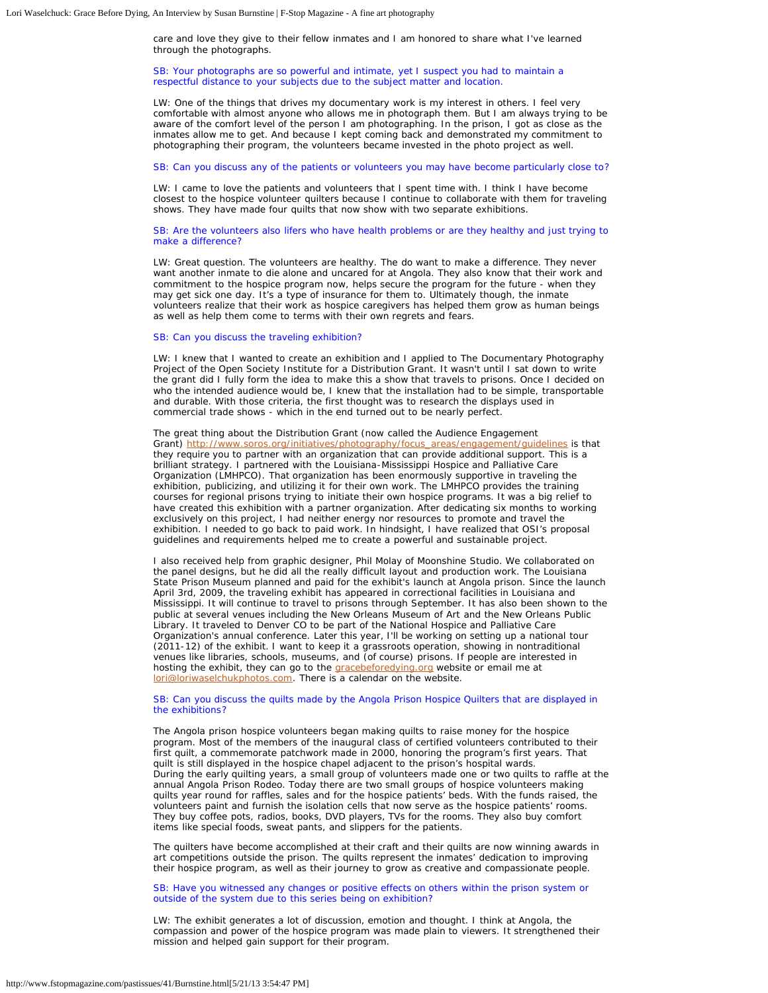care and love they give to their fellow inmates and I am honored to share what I've learned through the photographs.

SB: Your photographs are so powerful and intimate, yet I suspect you had to maintain a respectful distance to your subjects due to the subject matter and location.

LW: One of the things that drives my documentary work is my interest in others. I feel very comfortable with almost anyone who allows me in photograph them. But I am always trying to be aware of the comfort level of the person I am photographing. In the prison, I got as close as the inmates allow me to get. And because I kept coming back and demonstrated my commitment to photographing their program, the volunteers became invested in the photo project as well.

SB: Can you discuss any of the patients or volunteers you may have become particularly close to?

LW: I came to love the patients and volunteers that I spent time with. I think I have become closest to the hospice volunteer quilters because I continue to collaborate with them for traveling shows. They have made four quilts that now show with two separate exhibitions.

SB: Are the volunteers also lifers who have health problems or are they healthy and just trying to make a difference?

LW: Great question. The volunteers are healthy. The do want to make a difference. They never want another inmate to die alone and uncared for at Angola. They also know that their work and commitment to the hospice program now, helps secure the program for the future - when they may get sick one day. It's a type of insurance for them to. Ultimately though, the inmate volunteers realize that their work as hospice caregivers has helped them grow as human beings as well as help them come to terms with their own regrets and fears.

## SB: Can you discuss the traveling exhibition?

LW: I knew that I wanted to create an exhibition and I applied to The Documentary Photography Project of the Open Society Institute for a Distribution Grant. It wasn't until I sat down to write the grant did I fully form the idea to make this a show that travels to prisons. Once I decided on who the intended audience would be, I knew that the installation had to be simple, transportable and durable. With those criteria, the first thought was to research the displays used in commercial trade shows - which in the end turned out to be nearly perfect.

The great thing about the Distribution Grant (now called the Audience Engagement Grant) [http://www.soros.org/initiatives/photography/focus\\_areas/engagement/guidelines](http://www.soros.org/initiatives/photography/focus_areas/engagement/guidelines) is that they require you to partner with an organization that can provide additional support. This is a brilliant strategy. I partnered with the Louisiana-Mississippi Hospice and Palliative Care Organization (LMHPCO). That organization has been enormously supportive in traveling the exhibition, publicizing, and utilizing it for their own work. The LMHPCO provides the training courses for regional prisons trying to initiate their own hospice programs. It was a big relief to have created this exhibition with a partner organization. After dedicating six months to working exclusively on this project, I had neither energy nor resources to promote and travel the exhibition. I needed to go back to paid work. In hindsight, I have realized that OSI's proposal guidelines and requirements helped me to create a powerful and sustainable project.

I also received help from graphic designer, Phil Molay of Moonshine Studio. We collaborated on the panel designs, but he did all the really difficult layout and production work. The Louisiana State Prison Museum planned and paid for the exhibit's launch at Angola prison. Since the launch April 3rd, 2009, the traveling exhibit has appeared in correctional facilities in Louisiana and Mississippi. It will continue to travel to prisons through September. It has also been shown to the public at several venues including the New Orleans Museum of Art and the New Orleans Public Library. It traveled to Denver CO to be part of the National Hospice and Palliative Care Organization's annual conference. Later this year, I'll be working on setting up a national tour (2011-12) of the exhibit. I want to keep it a grassroots operation, showing in nontraditional venues like libraries, schools, museums, and (of course) prisons. If people are interested in hosting the exhibit, they can go to the *gracebeforedying org* website or email me at [lori@loriwaselchukphotos.com](mailto:lori@loriwaselchukphotos.com). There is a calendar on the website.

SB: Can you discuss the quilts made by the Angola Prison Hospice Quilters that are displayed in the exhibitions?

The Angola prison hospice volunteers began making quilts to raise money for the hospice program. Most of the members of the inaugural class of certified volunteers contributed to their first quilt, a commemorate patchwork made in 2000, honoring the program's first years. That quilt is still displayed in the hospice chapel adjacent to the prison's hospital wards. During the early quilting years, a small group of volunteers made one or two quilts to raffle at the annual Angola Prison Rodeo. Today there are two small groups of hospice volunteers making quilts year round for raffles, sales and for the hospice patients' beds. With the funds raised, the volunteers paint and furnish the isolation cells that now serve as the hospice patients' rooms. They buy coffee pots, radios, books, DVD players, TVs for the rooms. They also buy comfort items like special foods, sweat pants, and slippers for the patients.

The quilters have become accomplished at their craft and their quilts are now winning awards in art competitions outside the prison. The quilts represent the inmates' dedication to improving their hospice program, as well as their journey to grow as creative and compassionate people.

SB: Have you witnessed any changes or positive effects on others within the prison system or outside of the system due to this series being on exhibition?

LW: The exhibit generates a lot of discussion, emotion and thought. I think at Angola, the compassion and power of the hospice program was made plain to viewers. It strengthened their mission and helped gain support for their program.